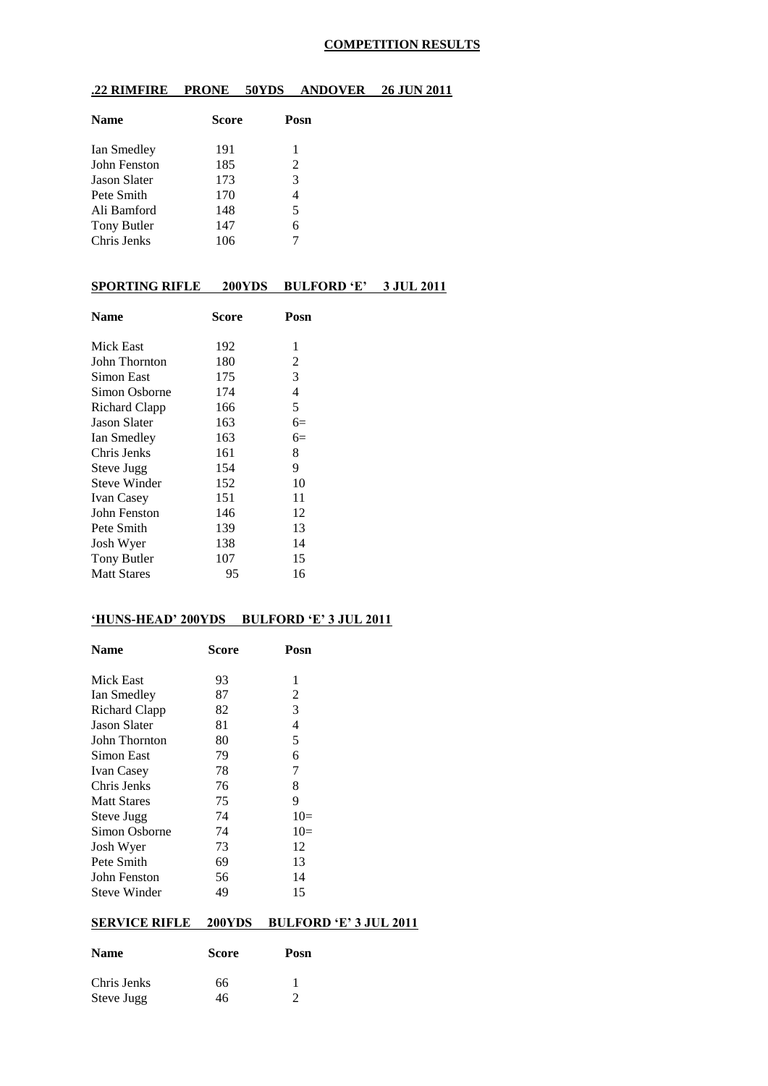### **COMPETITION RESULTS**

### **.22 RIMFIRE PRONE 50YDS ANDOVER 26 JUN 2011**

| <b>Name</b>         | <b>Score</b> | Posn |
|---------------------|--------------|------|
| Ian Smedley         | 191          | 1    |
| John Fenston        | 185          | 2    |
| <b>Jason Slater</b> | 173          | 3    |
| Pete Smith          | 170          | 4    |
| Ali Bamford         | 148          | 5    |
| Tony Butler         | 147          | 6    |
| Chris Jenks         | 106          |      |

### **SPORTING RIFLE 200YDS BULFORD 'E' 3 JUL 2011**

| <b>Name</b>         | Score | Posn |
|---------------------|-------|------|
| Mick East           | 192   | 1    |
| John Thornton       | 180   | 2    |
| Simon East          | 175   | 3    |
| Simon Osborne       | 174   | 4    |
| Richard Clapp       | 166   | 5    |
| <b>Jason Slater</b> | 163   | $6=$ |
| Ian Smedley         | 163   | $6=$ |
| Chris Jenks         | 161   | 8    |
| Steve Jugg          | 154   | 9    |
| <b>Steve Winder</b> | 152   | 10   |
| <b>Ivan Casey</b>   | 151   | 11   |
| John Fenston        | 146   | 12   |
| Pete Smith          | 139   | 13   |
| Josh Wyer           | 138   | 14   |
| <b>Tony Butler</b>  | 107   | 15   |
| <b>Matt Stares</b>  | 95    | 16   |
|                     |       |      |

#### **'HUNS-HEAD' 200YDS BULFORD 'E' 3 JUL 2011**

| <b>Name</b>         | Score | Posn  |
|---------------------|-------|-------|
| Mick East           | 93    | 1     |
| Ian Smedley         | 87    | 2     |
| Richard Clapp       | 82    | 3     |
| <b>Jason Slater</b> | 81    | 4     |
| John Thornton       | 80    | 5     |
| Simon East          | 79    | 6     |
| <b>Ivan Casey</b>   | 78    | 7     |
| Chris Jenks         | 76    | 8     |
| <b>Matt Stares</b>  | 75    | 9     |
| Steve Jugg          | 74    | $10=$ |
| Simon Osborne       | 74    | $10=$ |
| Josh Wyer           | 73    | 12    |
| Pete Smith          | 69    | 13    |
| John Fenston        | 56    | 14    |
| Steve Winder        | 49    | 15    |

## **SERVICE RIFLE 200YDS BULFORD 'E' 3 JUL 2011**

| <b>Name</b> | <b>Score</b> | Posn |  |  |
|-------------|--------------|------|--|--|
| Chris Jenks | 66           |      |  |  |
| Steve Jugg  | 46           |      |  |  |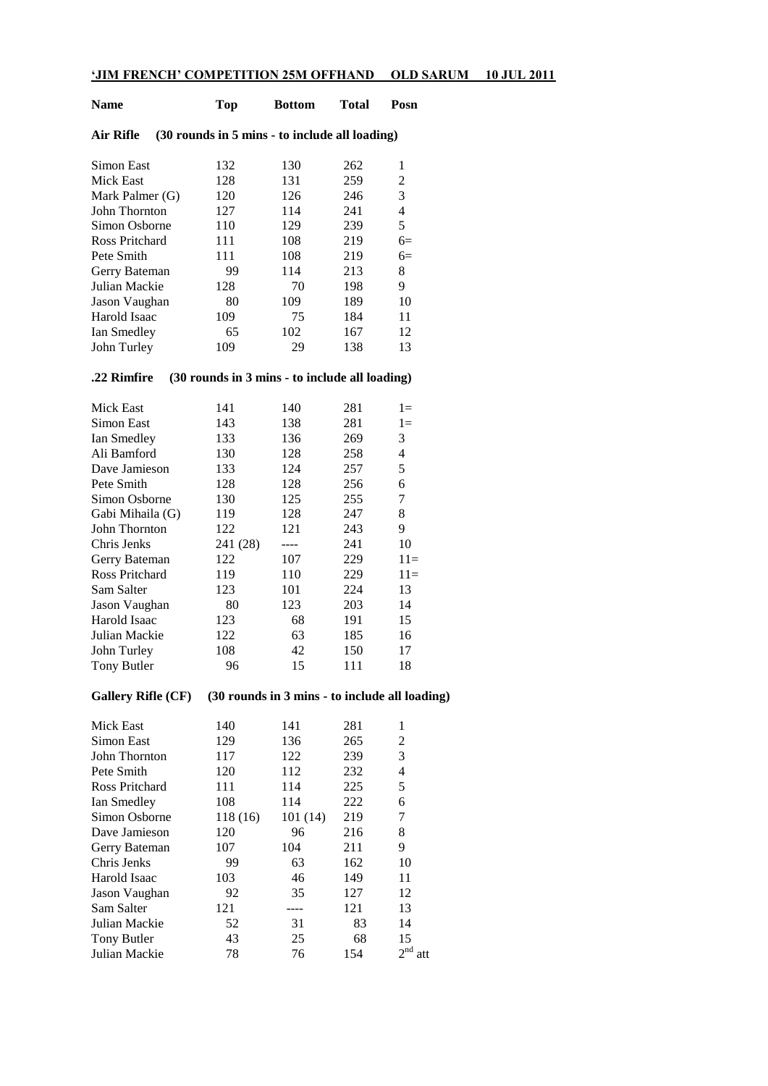### **'JIM FRENCH' COMPETITION 25M OFFHAND OLD SARUM 10 JUL 2011**

| Name            |  |     | <b>Top</b><br><b>Bottom</b>                    |     | Posn                     |  |
|-----------------|--|-----|------------------------------------------------|-----|--------------------------|--|
| Air Rifle       |  |     | (30 rounds in 5 mins - to include all loading) |     |                          |  |
| Simon East      |  | 132 | 130                                            | 262 | 1                        |  |
| Mick East       |  | 128 | 131                                            | 259 | 2                        |  |
| Mark Palmer (G) |  | 120 | 126                                            | 246 | 3                        |  |
| John Thornton   |  | 127 | 114                                            | 241 | $\overline{\mathcal{A}}$ |  |
| Simon Osborne   |  | 110 | 129                                            | 239 | 5                        |  |
| Ross Pritchard  |  | 111 | 108                                            | 219 | $6=$                     |  |
| Pete Smith      |  | 111 | 108                                            | 219 | $6=$                     |  |
| Gerry Bateman   |  | 99  | 114                                            | 213 | 8                        |  |
| Julian Mackie   |  | 128 | 70                                             | 198 | 9                        |  |
| Jason Vaughan   |  | 80  | 109                                            | 189 | 10                       |  |
| Harold Isaac    |  | 109 | 75                                             | 184 | 11                       |  |
| Ian Smedley     |  | 65  | 102                                            | 167 | 12                       |  |
| John Turley     |  | 109 | 29                                             | 138 | 13                       |  |
| .22 Rimfire     |  |     | (30 rounds in 3 mins - to include all loading) |     |                          |  |
| Mick East       |  | 141 | 140                                            | 281 | $1 =$                    |  |
| Simon East      |  | 143 | 138                                            | 281 | $1 =$                    |  |
| Ian Smedley     |  | 133 | 136                                            | 269 | 3                        |  |
| Ali Bamford     |  | 130 | 128                                            | 258 | $\overline{4}$           |  |
| Dave Jamieson   |  | 133 | 124                                            | 257 | 5                        |  |
|                 |  |     |                                                |     |                          |  |

| Pete Smith       | 128      | 128 | 256 | 6     |
|------------------|----------|-----|-----|-------|
| Simon Osborne    | 130      | 125 | 255 | 7     |
| Gabi Mihaila (G) | 119      | 128 | 247 | 8     |
| John Thornton    | 122      | 121 | 243 | 9     |
| Chris Jenks      | 241 (28) |     | 241 | 10    |
| Gerry Bateman    | 122      | 107 | 229 | $11=$ |
| Ross Pritchard   | 119      | 110 | 229 | $11=$ |
| Sam Salter       | 123      | 101 | 224 | 13    |
| Jason Vaughan    | 80       | 123 | 203 | 14    |
| Harold Isaac     | 123      | 68  | 191 | 15    |
| Julian Mackie    | 122      | 63  | 185 | 16    |
| John Turley      | 108      | 42  | 150 | 17    |
| Tony Butler      | 96       | 15  | 111 | 18    |
|                  |          |     |     |       |

# **Gallery Rifle (CF) (30 rounds in 3 mins - to include all loading)**

| Mick East      | 140      | 141     | 281 | 1                      |
|----------------|----------|---------|-----|------------------------|
| Simon East     | 129      | 136     | 265 | 2                      |
| John Thornton  | 117      | 122     | 239 | 3                      |
| Pete Smith     | 120      | 112     | 232 | 4                      |
| Ross Pritchard | 111      | 114     | 225 | 5                      |
| Ian Smedley    | 108      | 114     | 222 | 6                      |
| Simon Osborne  | 118 (16) | 101(14) | 219 | 7                      |
| Dave Jamieson  | 120      | 96      | 216 | 8                      |
| Gerry Bateman  | 107      | 104     | 211 | 9                      |
| Chris Jenks    | 99       | 63      | 162 | 10                     |
| Harold Isaac   | 103      | 46      | 149 | 11                     |
| Jason Vaughan  | 92       | 35      | 127 | 12                     |
| Sam Salter     | 121      |         | 121 | 13                     |
| Julian Mackie  | 52       | 31      | 83  | 14                     |
| Tony Butler    | 43       | 25      | 68  | 15                     |
| Julian Mackie  | 78       | 76      | 154 | 2 <sup>nd</sup><br>att |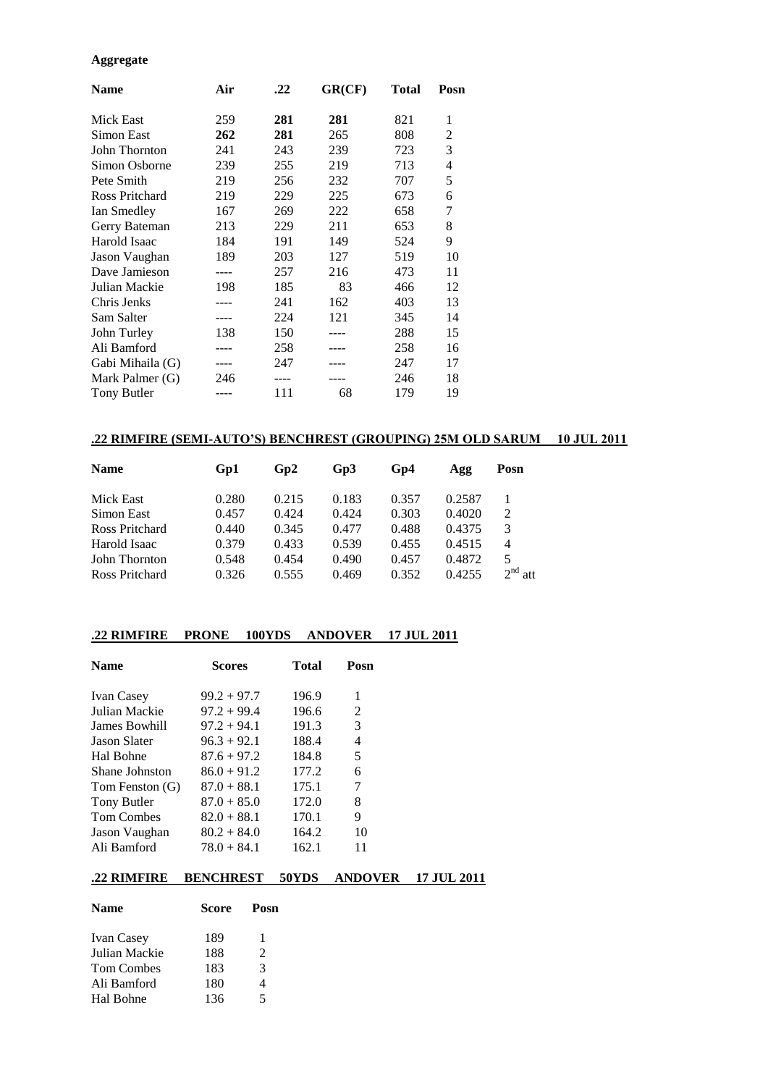#### **Aggregate**

| <b>Name</b>      | Air | .22 | GR(CF) | <b>Total</b> | Posn           |
|------------------|-----|-----|--------|--------------|----------------|
| Mick East        | 259 | 281 | 281    | 821          | 1              |
| Simon East       | 262 | 281 | 265    | 808          | 2              |
| John Thornton    | 241 | 243 | 239    | 723          | 3              |
| Simon Osborne    | 239 | 255 | 219    | 713          | $\overline{4}$ |
| Pete Smith       | 219 | 256 | 232    | 707          | 5              |
| Ross Pritchard   | 219 | 229 | 225    | 673          | 6              |
| Ian Smedley      | 167 | 269 | 222    | 658          | 7              |
| Gerry Bateman    | 213 | 229 | 211    | 653          | 8              |
| Harold Isaac     | 184 | 191 | 149    | 524          | 9              |
| Jason Vaughan    | 189 | 203 | 127    | 519          | 10             |
| Dave Jamieson    |     | 257 | 216    | 473          | 11             |
| Julian Mackie    | 198 | 185 | 83     | 466          | 12             |
| Chris Jenks      |     | 241 | 162    | 403          | 13             |
| Sam Salter       |     | 224 | 121    | 345          | 14             |
| John Turley      | 138 | 150 |        | 288          | 15             |
| Ali Bamford      |     | 258 |        | 258          | 16             |
| Gabi Mihaila (G) |     | 247 |        | 247          | 17             |
| Mark Palmer (G)  | 246 |     |        | 246          | 18             |
| Tony Butler      |     | 111 | 68     | 179          | 19             |

### **.22 RIMFIRE (SEMI-AUTO'S) BENCHREST (GROUPING) 25M OLD SARUM 10 JUL 2011**

| <b>Name</b>    | Gp1   | Gp2   | Gp3   | Gp4   | Agg    | Posn                   |
|----------------|-------|-------|-------|-------|--------|------------------------|
| Mick East      | 0.280 | 0.215 | 0.183 | 0.357 | 0.2587 | -1                     |
| Simon East     | 0.457 | 0.424 | 0.424 | 0.303 | 0.4020 | 2                      |
| Ross Pritchard | 0.440 | 0.345 | 0.477 | 0.488 | 0.4375 | 3                      |
| Harold Isaac   | 0.379 | 0.433 | 0.539 | 0.455 | 0.4515 | 4                      |
| John Thornton  | 0.548 | 0.454 | 0.490 | 0.457 | 0.4872 | 5                      |
| Ross Pritchard | 0.326 | 0.555 | 0.469 | 0.352 | 0.4255 | 2 <sup>nd</sup><br>att |

### **.22 RIMFIRE PRONE 100YDS ANDOVER 17 JUL 2011**

| <b>Name</b>         | <b>Scores</b> | Total | Posn |
|---------------------|---------------|-------|------|
| <b>Ivan Casey</b>   | $99.2 + 97.7$ | 196.9 | 1    |
| Julian Mackie       | $97.2 + 99.4$ | 196.6 | 2    |
| James Bowhill       | $97.2 + 94.1$ | 191.3 | 3    |
| <b>Jason Slater</b> | $96.3 + 92.1$ | 188.4 | 4    |
| Hal Bohne           | $87.6 + 97.2$ | 184.8 | 5    |
| Shane Johnston      | $86.0 + 91.2$ | 177.2 | 6    |
| Tom Fenston (G)     | $87.0 + 88.1$ | 175.1 | 7    |
| Tony Butler         | $87.0 + 85.0$ | 172.0 | 8    |
| <b>Tom Combes</b>   | $82.0 + 88.1$ | 170.1 | 9    |
| Jason Vaughan       | $80.2 + 84.0$ | 164.2 | 10   |
| Ali Bamford         | $78.0 + 84.1$ | 162.1 | 11   |

### **.22 RIMFIRE BENCHREST 50YDS ANDOVER 17 JUL 2011**

| <b>Name</b>       | Score | Posn                  |
|-------------------|-------|-----------------------|
| <b>Ivan Casey</b> | 189   | 1                     |
| Julian Mackie     | 188   | $\mathcal{D}_{\cdot}$ |
| <b>Tom Combes</b> | 183   | 3                     |
| Ali Bamford       | 180   | 4                     |
| Hal Bohne         | 136   | 5                     |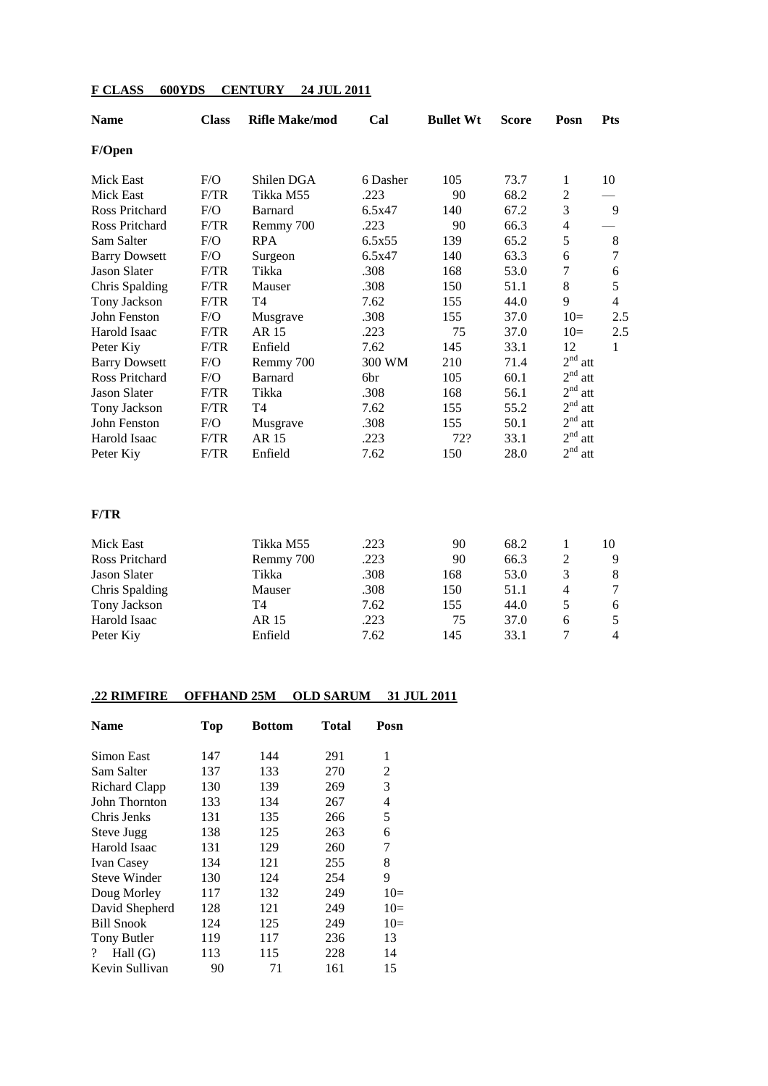| <b>Name</b>           | <b>Class</b> | <b>Rifle Make/mod</b> | Cal      | <b>Bullet Wt</b> | <b>Score</b> | Posn                   | <b>Pts</b>       |
|-----------------------|--------------|-----------------------|----------|------------------|--------------|------------------------|------------------|
| F/Open                |              |                       |          |                  |              |                        |                  |
| <b>Mick East</b>      | F/O          | Shilen DGA            | 6 Dasher | 105              | 73.7         | $\mathbf{1}$           | 10               |
| <b>Mick East</b>      | F/TR         | Tikka M55             | .223     | 90               | 68.2         | $\overline{c}$         |                  |
| <b>Ross Pritchard</b> | F/O          | <b>Barnard</b>        | 6.5x47   | 140              | 67.2         | 3                      | 9                |
| <b>Ross Pritchard</b> | F/TR         | Remmy 700             | .223     | 90               | 66.3         | 4                      |                  |
| Sam Salter            | F/O          | <b>RPA</b>            | 6.5x55   | 139              | 65.2         | 5                      | $\,8\,$          |
| <b>Barry Dowsett</b>  | F/O          | Surgeon               | 6.5x47   | 140              | 63.3         | 6                      | $\boldsymbol{7}$ |
| <b>Jason Slater</b>   | F/TR         | Tikka                 | .308     | 168              | 53.0         | 7                      | $\sqrt{6}$       |
| Chris Spalding        | F/TR         | Mauser                | .308     | 150              | 51.1         | 8                      | 5                |
| Tony Jackson          | F/TR         | T4                    | 7.62     | 155              | 44.0         | 9                      | $\overline{4}$   |
| John Fenston          | F/O          | Musgrave              | .308     | 155              | 37.0         | $10=$                  | 2.5              |
| Harold Isaac          | F/TR         | AR 15                 | .223     | 75               | 37.0         | $10=$                  | 2.5              |
| Peter Kiy             | F/TR         | Enfield               | 7.62     | 145              | 33.1         | 12                     | $\mathbf{1}$     |
| <b>Barry Dowsett</b>  | F/O          | Remmy 700             | 300 WM   | 210              | 71.4         | 2 <sup>nd</sup><br>att |                  |
| <b>Ross Pritchard</b> | F/O          | <b>Barnard</b>        | 6br      | 105              | 60.1         | 2 <sup>nd</sup><br>att |                  |
| <b>Jason Slater</b>   | F/TR         | Tikka                 | .308     | 168              | 56.1         | 2 <sup>nd</sup><br>att |                  |
| Tony Jackson          | F/TR         | <b>T4</b>             | 7.62     | 155              | 55.2         | 2 <sup>nd</sup><br>att |                  |
| John Fenston          | F/O          | Musgrave              | .308     | 155              | 50.1         | 2 <sup>nd</sup><br>att |                  |
| Harold Isaac          | F/TR         | AR 15                 | .223     | 72?              | 33.1         | 2 <sup>nd</sup><br>att |                  |
| Peter Kiy             | F/TR         | Enfield               | 7.62     | 150              | 28.0         | $2^{\rm nd}$<br>att    |                  |
| F/TR                  |              |                       |          |                  |              |                        |                  |
| <b>Mick East</b>      |              | Tikka M55             | .223     | 90               | 68.2         | 1                      | 10               |
| <b>Ross Pritchard</b> |              | Remmy 700             | .223     | 90               | 66.3         | $\overline{c}$         | 9                |
| <b>Jason Slater</b>   |              | Tikka                 | .308     | 168              | 53.0         | 3                      | $\,8\,$          |
| Chris Spalding        |              | Mauser                | .308     | 150              | 51.1         | 4                      | $\tau$           |
| Tony Jackson          |              | T <sub>4</sub>        | 7.62     | 155              | 44.0         | 5                      | 6                |
| Harold Isaac          |              | <b>AR15</b>           | .223     | 75               | 37.0         | 6                      | 5                |
| Peter Kiy             |              | Enfield               | 7.62     | 145              | 33.1         | 7                      | $\overline{4}$   |
|                       |              |                       |          |                  |              |                        |                  |

# **F CLASS 600YDS CENTURY 24 JUL 2011**

# **.22 RIMFIRE OFFHAND 25M OLD SARUM 31 JUL 2011**

| <b>Name</b>                  | Top | <b>Bottom</b> | <b>Total</b> | Posn  |
|------------------------------|-----|---------------|--------------|-------|
| Simon East                   | 147 | 144           | 291          | 1     |
| Sam Salter                   | 137 | 133           | 270          | 2     |
| Richard Clapp                | 130 | 139           | 269          | 3     |
| John Thornton                | 133 | 134           | 267          | 4     |
| Chris Jenks                  | 131 | 135           | 266          | 5     |
| Steve Jugg                   | 138 | 125           | 263          | 6     |
| Harold Isaac                 | 131 | 129           | 260          | 7     |
| <b>Ivan Casey</b>            | 134 | 121           | 255          | 8     |
| Steve Winder                 | 130 | 124           | 254          | 9     |
| Doug Morley                  | 117 | 132           | 249          | $10=$ |
| David Shepherd               | 128 | 121           | 249          | $10=$ |
| <b>Bill Snook</b>            | 124 | 125           | 249          | $10=$ |
| <b>Tony Butler</b>           | 119 | 117           | 236          | 13    |
| Hall $(G)$<br>$\overline{?}$ | 113 | 115           | 228          | 14    |
| Kevin Sullivan               | 90  | 71            | 161          | 15    |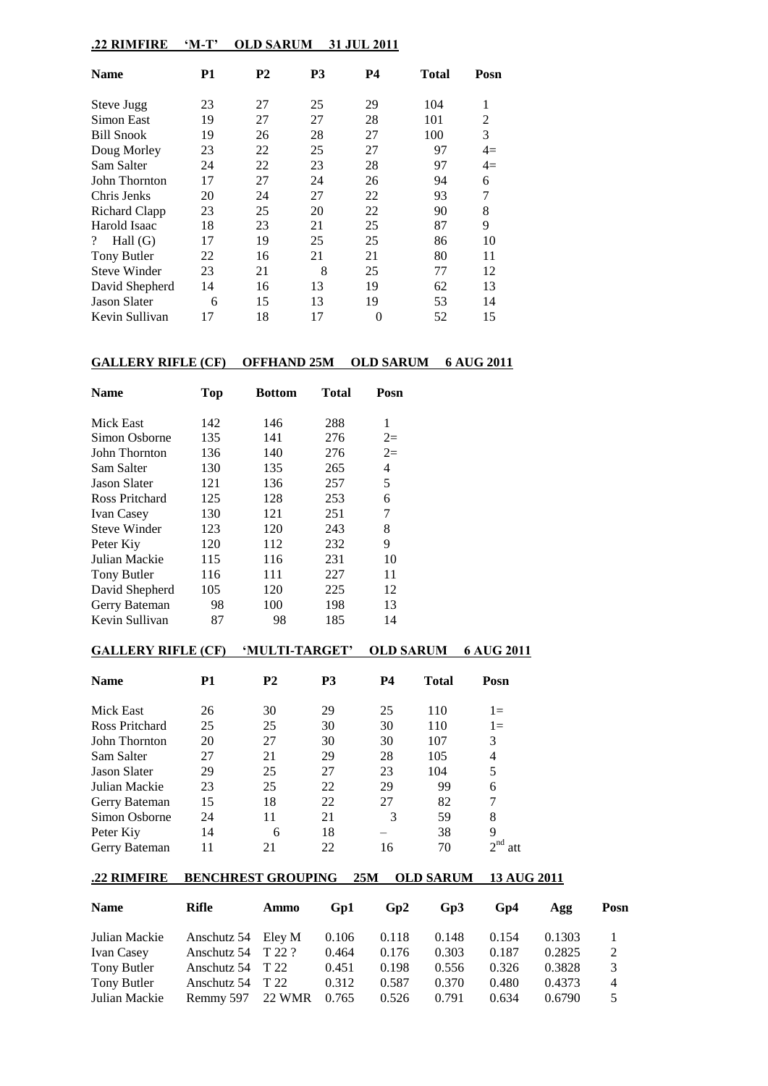# **.22 RIMFIRE 'M-T' OLD SARUM 31 JUL 2011**

| <b>Name</b>                 | P1 | <b>P2</b> | P3 | <b>P4</b> | Total | Posn |
|-----------------------------|----|-----------|----|-----------|-------|------|
| Steve Jugg                  | 23 | 27        | 25 | 29        | 104   | 1    |
| Simon East                  | 19 | 27        | 27 | 28        | 101   | 2    |
| <b>Bill Snook</b>           | 19 | 26        | 28 | 27        | 100   | 3    |
| Doug Morley                 | 23 | 22        | 25 | 27        | 97    | $4=$ |
| Sam Salter                  | 24 | 22        | 23 | 28        | 97    | $4=$ |
| John Thornton               | 17 | 27        | 24 | 26        | 94    | 6    |
| Chris Jenks                 | 20 | 24        | 27 | 22        | 93    | 7    |
| Richard Clapp               | 23 | 25        | 20 | 22        | 90    | 8    |
| Harold Isaac                | 18 | 23        | 21 | 25        | 87    | 9    |
| Hall $(G)$<br>$\mathcal{P}$ | 17 | 19        | 25 | 25        | 86    | 10   |
| Tony Butler                 | 22 | 16        | 21 | 21        | 80    | 11   |
| <b>Steve Winder</b>         | 23 | 21        | 8  | 25        | 77    | 12   |
| David Shepherd              | 14 | 16        | 13 | 19        | 62    | 13   |
| <b>Jason Slater</b>         | 6  | 15        | 13 | 19        | 53    | 14   |
| Kevin Sullivan              | 17 | 18        | 17 | 0         | 52    | 15   |

# **GALLERY RIFLE (CF) OFFHAND 25M OLD SARUM 6 AUG 2011**

| <b>Top</b> | <b>Bottom</b> | Total | Posn |
|------------|---------------|-------|------|
| 142        | 146           | 288   | 1    |
| 135        | 141           | 276   | $2=$ |
| 136        | 140           | 276   | $2=$ |
| 130        | 135           | 265   | 4    |
| 121        | 136           | 257   | 5    |
| 125        | 128           | 253   | 6    |
| 130        | 121           | 251   | 7    |
| 123        | 120           | 243   | 8    |
| 120        | 112           | 232   | 9    |
| 115        | 116           | 231   | 10   |
| 116        | 111           | 227   | 11   |
| 105        | 120           | 225   | 12   |
| 98         | 100           | 198   | 13   |
| 87         | 98            | 185   | 14   |
|            |               |       |      |

# **GALLERY RIFLE (CF) 'MULTI-TARGET' OLD SARUM 6 AUG 2011**

| <b>Name</b>         | P1 | <b>P2</b> | <b>P3</b> | P4 | Total | Posn        |
|---------------------|----|-----------|-----------|----|-------|-------------|
| Mick East           | 26 | 30        | 29        | 25 | 110   | $1 =$       |
| Ross Pritchard      | 25 | 25        | 30        | 30 | 110   | $1 =$       |
| John Thornton       | 20 | 27        | 30        | 30 | 107   | 3           |
| Sam Salter          | 27 | 21        | 29        | 28 | 105   | 4           |
| <b>Jason Slater</b> | 29 | 25        | 27        | 23 | 104   | 5           |
| Julian Mackie       | 23 | 25        | 22        | 29 | 99    | 6           |
| Gerry Bateman       | 15 | 18        | 22        | 27 | 82    | 7           |
| Simon Osborne       | 24 | 11        | 21        | 3  | 59    | 8           |
| Peter Kiy           | 14 | 6         | 18        |    | 38    | 9           |
| Gerry Bateman       | 11 | 21        | 22        | 16 | 70    | $\gamma$ nd |

#### **.22 RIMFIRE BENCHREST GROUPING 25M OLD SARUM 13 AUG 2011**

| <b>Name</b>       | Rifle              | Ammo   | Gp1   | Gp2   | Gp3   | Gp4   | Agg    | Posn           |
|-------------------|--------------------|--------|-------|-------|-------|-------|--------|----------------|
| Julian Mackie     | Anschutz 54 Eley M |        | 0.106 | 0.118 | 0.148 | 0.154 | 0.1303 |                |
| <b>Ivan Casey</b> | Anschutz 54        | T 22 ? | 0.464 | 0.176 | 0.303 | 0.187 | 0.2825 | 2              |
| Tony Butler       | Anschutz $54$ T 22 |        | 0.451 | 0.198 | 0.556 | 0.326 | 0.3828 | 3              |
| Tony Butler       | Anschutz 54        | T 22   | 0.312 | 0.587 | 0.370 | 0.480 | 0.4373 | $\overline{4}$ |
| Julian Mackie     | Remmy 597          | 22 WMR | 0.765 | 0.526 | 0.791 | 0.634 | 0.6790 | 5.             |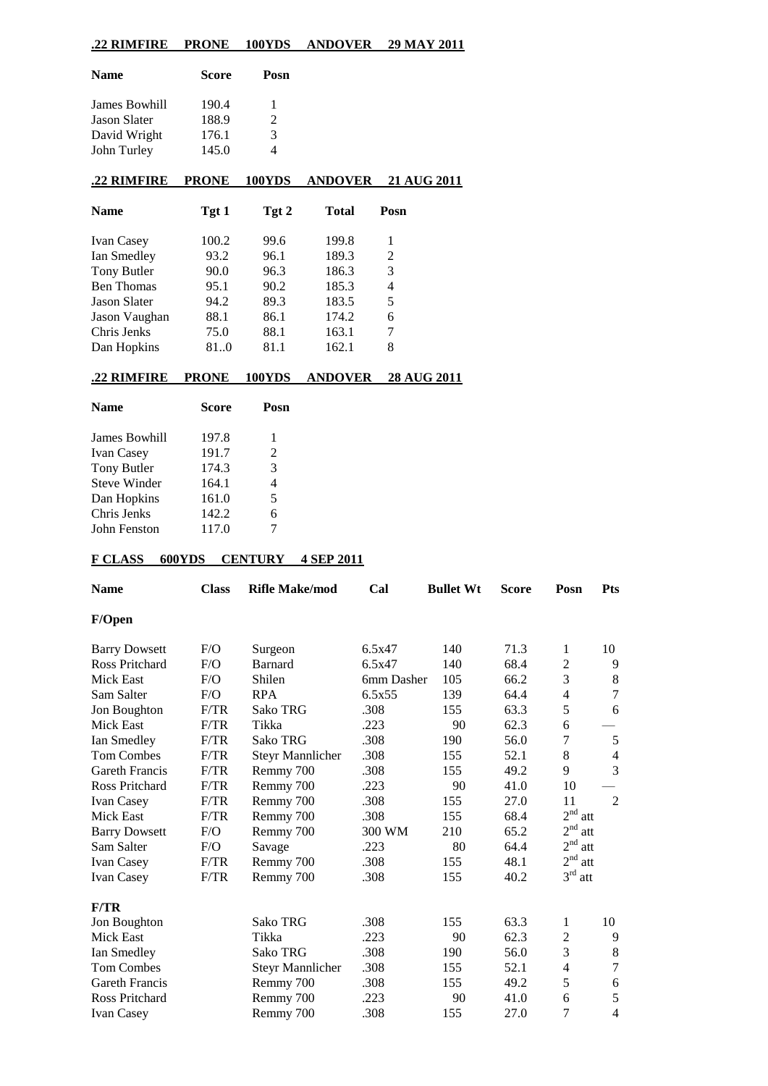# **.22 RIMFIRE PRONE 100YDS ANDOVER 29 MAY 2011**

| <b>Name</b>         | <b>Score</b> | Posn          |
|---------------------|--------------|---------------|
| James Bowhill       | 190.4        | 1             |
| <b>Jason Slater</b> | 188.9        | $\mathcal{L}$ |
| David Wright        | 176.1        | 3             |
| John Turley         | 145.0        | 4             |

# **.22 RIMFIRE PRONE 100YDS ANDOVER 21 AUG 2011**

| <b>Name</b>         | Tgt 1 | Tgt 2 | <b>Total</b> | Posn |
|---------------------|-------|-------|--------------|------|
| <b>Ivan Casey</b>   | 100.2 | 99.6  | 199.8        | 1    |
| Ian Smedley         | 93.2  | 96.1  | 189.3        | 2    |
| Tony Butler         | 90.0  | 96.3  | 186.3        | 3    |
| <b>Ben Thomas</b>   | 95.1  | 90.2  | 185.3        | 4    |
| <b>Jason Slater</b> | 94.2  | 89.3  | 183.5        | 5    |
| Jason Vaughan       | 88.1  | 86.1  | 174.2        | 6    |
| Chris Jenks         | 75.0  | 88.1  | 163.1        | 7    |
| Dan Hopkins         | 810   | 81.1  | 162.1        | 8    |

#### **.22 RIMFIRE PRONE 100YDS ANDOVER 28 AUG 2011**

| Posn                                                                        |
|-----------------------------------------------------------------------------|
| 1                                                                           |
| 2                                                                           |
| 3                                                                           |
| 4                                                                           |
| 5                                                                           |
| 6                                                                           |
|                                                                             |
| <b>Score</b><br>197.8<br>191.7<br>174.3<br>164.1<br>161.0<br>142.2<br>117.0 |

### **F CLASS 600YDS CENTURY 4 SEP 2011**

| <b>Name</b>           | <b>Class</b> | <b>Rifle Make/mod</b>   | Cal        | <b>Bullet Wt</b> | <b>Score</b> | Posn                   | <b>Pts</b>     |
|-----------------------|--------------|-------------------------|------------|------------------|--------------|------------------------|----------------|
| F/Open                |              |                         |            |                  |              |                        |                |
| <b>Barry Dowsett</b>  | F/O          | Surgeon                 | 6.5x47     | 140              | 71.3         | 1                      | 10             |
| <b>Ross Pritchard</b> | F/O          | <b>Barnard</b>          | 6.5x47     | 140              | 68.4         | 2                      | 9              |
| <b>Mick East</b>      | F/O          | Shilen                  | 6mm Dasher | 105              | 66.2         | 3                      | $\,8\,$        |
| Sam Salter            | F/O          | <b>RPA</b>              | 6.5x55     | 139              | 64.4         | $\overline{4}$         | 7              |
| Jon Boughton          | F/TR         | Sako TRG                | .308       | 155              | 63.3         | 5                      | 6              |
| Mick East             | F/TR         | Tikka                   | .223       | 90               | 62.3         | 6                      |                |
| Ian Smedley           | F/TR         | <b>Sako TRG</b>         | .308       | 190              | 56.0         | 7                      | $\mathfrak s$  |
| <b>Tom Combes</b>     | F/TR         | <b>Steyr Mannlicher</b> | .308       | 155              | 52.1         | 8                      | $\overline{4}$ |
| <b>Gareth Francis</b> | F/TR         | Remmy 700               | .308       | 155              | 49.2         | 9                      | 3              |
| Ross Pritchard        | F/TR         | Remmy 700               | .223       | 90               | 41.0         | 10                     |                |
| Ivan Casey            | F/TR         | Remmy 700               | .308       | 155              | 27.0         | 11                     | 2              |
| Mick East             | F/TR         | Remmy 700               | .308       | 155              | 68.4         | 2 <sup>nd</sup><br>att |                |
| <b>Barry Dowsett</b>  | F/O          | Remmy 700               | 300 WM     | 210              | 65.2         | $2^{\rm nd}$<br>att    |                |
| Sam Salter            | F/O          | Savage                  | .223       | 80               | 64.4         | 2 <sup>nd</sup><br>att |                |
| Ivan Casey            | F/TR         | Remmy 700               | .308       | 155              | 48.1         | 2 <sup>nd</sup><br>att |                |
| <b>Ivan Casey</b>     | F/TR         | Remmy 700               | .308       | 155              | 40.2         | 3 <sup>rd</sup><br>att |                |
| F/TR                  |              |                         |            |                  |              |                        |                |
| Jon Boughton          |              | Sako TRG                | .308       | 155              | 63.3         | 1                      | 10             |
| <b>Mick East</b>      |              | Tikka                   | .223       | 90               | 62.3         | 2                      | 9              |
| Ian Smedley           |              | Sako TRG                | .308       | 190              | 56.0         | 3                      | $\,8\,$        |
| <b>Tom Combes</b>     |              | <b>Steyr Mannlicher</b> | .308       | 155              | 52.1         | 4                      | $\overline{7}$ |
| Gareth Francis        |              | Remmy 700               | .308       | 155              | 49.2         | 5                      | 6              |
| <b>Ross Pritchard</b> |              | Remmy 700               | .223       | 90               | 41.0         | 6                      | 5              |
| <b>Ivan Casey</b>     |              | Remmy 700               | .308       | 155              | 27.0         | 7                      | $\overline{4}$ |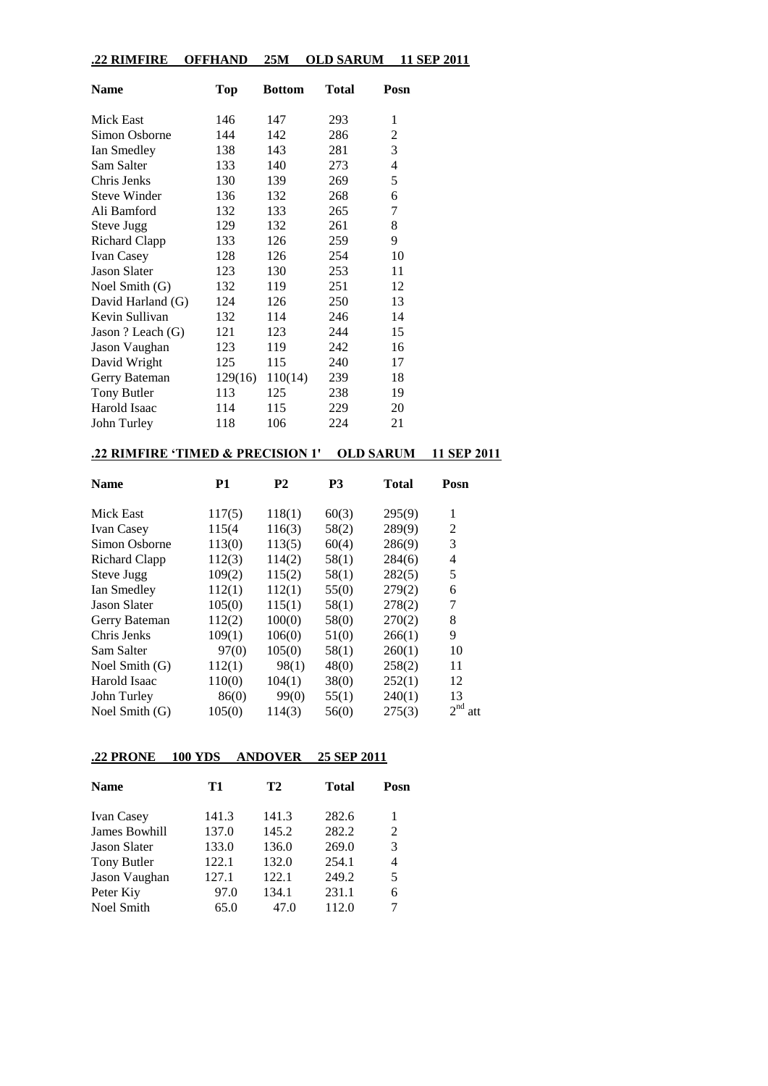#### **.22 RIMFIRE OFFHAND 25M OLD SARUM 11 SEP 2011**

| Name                 | <b>Top</b> | <b>Bottom</b> | Total | Posn |
|----------------------|------------|---------------|-------|------|
| Mick East            | 146        | 147           | 293   | 1    |
| Simon Osborne        | 144        | 142           | 286   | 2    |
| Ian Smedley          | 138        | 143           | 281   | 3    |
| Sam Salter           | 133        | 140           | 273   | 4    |
| Chris Jenks          | 130        | 139           | 269   | 5    |
| <b>Steve Winder</b>  | 136        | 132           | 268   | 6    |
| Ali Bamford          | 132        | 133           | 265   | 7    |
| Steve Jugg           | 129        | 132           | 261   | 8    |
| <b>Richard Clapp</b> | 133        | 126           | 259   | 9    |
| Ivan Casey           | 128        | 126           | 254   | 10   |
| <b>Jason Slater</b>  | 123        | 130           | 253   | 11   |
| Noel Smith $(G)$     | 132        | 119           | 251   | 12   |
| David Harland (G)    | 124        | 126           | 250   | 13   |
| Kevin Sullivan       | 132        | 114           | 246   | 14   |
| Jason ? Leach (G)    | 121        | 123           | 244   | 15   |
| Jason Vaughan        | 123        | 119           | 242   | 16   |
| David Wright         | 125        | 115           | 240   | 17   |
| Gerry Bateman        | 129(16)    | 110(14)       | 239   | 18   |
| Tony Butler          | 113        | 125           | 238   | 19   |
| Harold Isaac         | 114        | 115           | 229   | 20   |
| John Turley          | 118        | 106           | 224   | 21   |

### **.22 RIMFIRE 'TIMED & PRECISION 1' OLD SARUM 11 SEP 2011**

| <b>Name</b>         | P1     | <b>P2</b> | P <sub>3</sub> | <b>Total</b> | Posn            |
|---------------------|--------|-----------|----------------|--------------|-----------------|
| Mick East           | 117(5) | 118(1)    | 60(3)          | 295(9)       | 1               |
| <b>Ivan Casey</b>   | 115(4) | 116(3)    | 58(2)          | 289(9)       | $\overline{2}$  |
| Simon Osborne       | 113(0) | 113(5)    | 60(4)          | 286(9)       | 3               |
| Richard Clapp       | 112(3) | 114(2)    | 58(1)          | 284(6)       | 4               |
| Steve Jugg          | 109(2) | 115(2)    | 58(1)          | 282(5)       | 5               |
| Ian Smedley         | 112(1) | 112(1)    | 55(0)          | 279(2)       | 6               |
| <b>Jason Slater</b> | 105(0) | 115(1)    | 58(1)          | 278(2)       | 7               |
| Gerry Bateman       | 112(2) | 100(0)    | 58(0)          | 270(2)       | 8               |
| Chris Jenks         | 109(1) | 106(0)    | 51(0)          | 266(1)       | 9               |
| Sam Salter          | 97(0)  | 105(0)    | 58(1)          | 260(1)       | 10              |
| Noel Smith $(G)$    | 112(1) | 98(1)     | 48(0)          | 258(2)       | 11              |
| Harold Isaac        | 110(0) | 104(1)    | 38(0)          | 252(1)       | 12              |
| John Turley         | 86(0)  | 99(0)     | 55(1)          | 240(1)       | 13              |
| Noel Smith $(G)$    | 105(0) | 114(3)    | 56(0)          | 275(3)       | $2^{nd}$<br>att |

# **.22 PRONE 100 YDS ANDOVER 25 SEP 2011**

| <b>Name</b>          | T1    | T2    | <b>Total</b> | Posn |
|----------------------|-------|-------|--------------|------|
| <b>Ivan Casey</b>    | 141.3 | 141.3 | 282.6        |      |
| <b>James Bowhill</b> | 137.0 | 145.2 | 282.2        | 2    |
| <b>Jason Slater</b>  | 133.0 | 136.0 | 269.0        | 3    |
| Tony Butler          | 122.1 | 132.0 | 254.1        | 4    |
| Jason Vaughan        | 127.1 | 122.1 | 249.2        | 5    |
| Peter Kiy            | 97.0  | 134.1 | 231.1        | 6    |
| <b>Noel Smith</b>    | 65.0  | 47.0  | 112.0        |      |
|                      |       |       |              |      |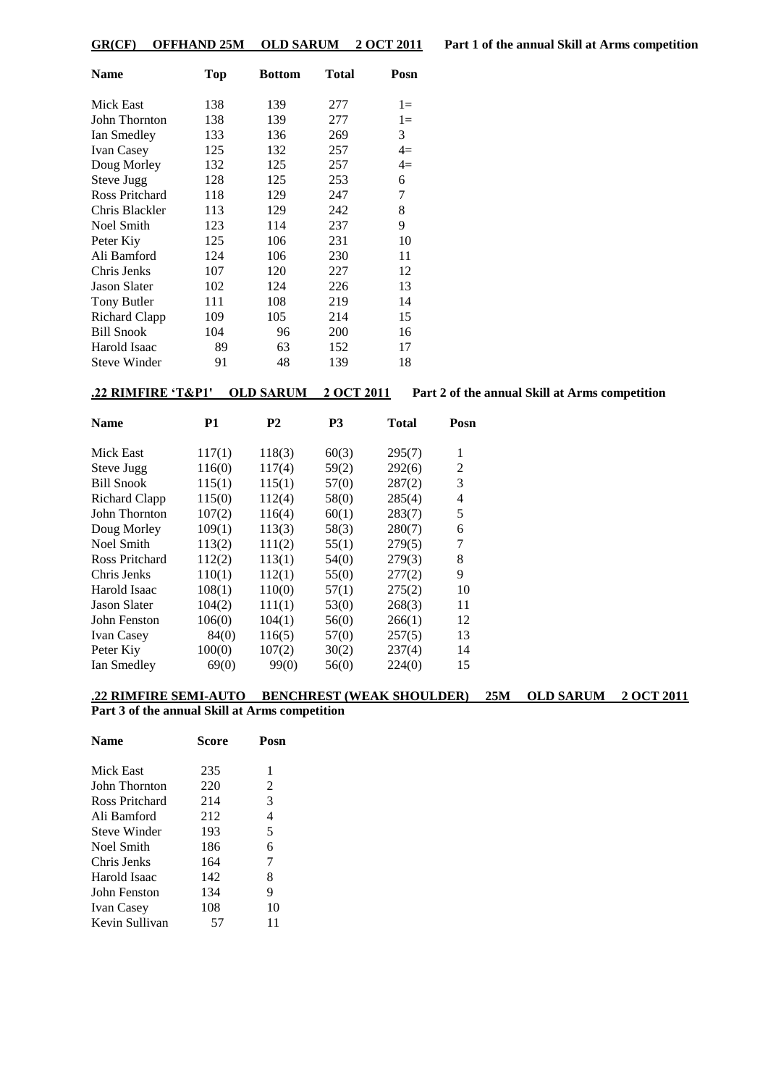| Name                | Top | <b>Bottom</b> | Total | Posn  |
|---------------------|-----|---------------|-------|-------|
| Mick East           | 138 | 139           | 277   | $1 =$ |
| John Thornton       | 138 | 139           | 277   | $1 =$ |
| Ian Smedley         | 133 | 136           | 269   | 3     |
| <b>Ivan Casey</b>   | 125 | 132           | 257   | $4=$  |
| Doug Morley         | 132 | 125           | 257   | $4=$  |
| Steve Jugg          | 128 | 125           | 253   | 6     |
| Ross Pritchard      | 118 | 129           | 247   | 7     |
| Chris Blackler      | 113 | 129           | 242   | 8     |
| Noel Smith          | 123 | 114           | 237   | 9     |
| Peter Kiy           | 125 | 106           | 231   | 10    |
| Ali Bamford         | 124 | 106           | 230   | 11    |
| Chris Jenks         | 107 | 120           | 227   | 12    |
| <b>Jason Slater</b> | 102 | 124           | 226   | 13    |
| Tony Butler         | 111 | 108           | 219   | 14    |
| Richard Clapp       | 109 | 105           | 214   | 15    |
| <b>Bill Snook</b>   | 104 | 96            | 200   | 16    |
| Harold Isaac        | 89  | 63            | 152   | 17    |
| <b>Steve Winder</b> | 91  | 48            | 139   | 18    |

**.22 RIMFIRE 'T&P1' OLD SARUM 2 OCT 2011 Part 2 of the annual Skill at Arms competition**

| <b>Name</b>         | P1     | P2     | P3    | Total  | Posn |
|---------------------|--------|--------|-------|--------|------|
| Mick East           | 117(1) | 118(3) | 60(3) | 295(7) | 1    |
| Steve Jugg          | 116(0) | 117(4) | 59(2) | 292(6) | 2    |
| <b>Bill Snook</b>   | 115(1) | 115(1) | 57(0) | 287(2) | 3    |
| Richard Clapp       | 115(0) | 112(4) | 58(0) | 285(4) | 4    |
| John Thornton       | 107(2) | 116(4) | 60(1) | 283(7) | 5    |
| Doug Morley         | 109(1) | 113(3) | 58(3) | 280(7) | 6    |
| Noel Smith          | 113(2) | 111(2) | 55(1) | 279(5) | 7    |
| Ross Pritchard      | 112(2) | 113(1) | 54(0) | 279(3) | 8    |
| Chris Jenks         | 110(1) | 112(1) | 55(0) | 277(2) | 9    |
| Harold Isaac        | 108(1) | 110(0) | 57(1) | 275(2) | 10   |
| <b>Jason Slater</b> | 104(2) | 111(1) | 53(0) | 268(3) | 11   |
| John Fenston        | 106(0) | 104(1) | 56(0) | 266(1) | 12   |
| <b>Ivan Casey</b>   | 84(0)  | 116(5) | 57(0) | 257(5) | 13   |
| Peter Kiy           | 100(0) | 107(2) | 30(2) | 237(4) | 14   |
| Ian Smedley         | 69(0)  | 99(0)  | 56(0) | 224(0) | 15   |
|                     |        |        |       |        |      |

### **.22 RIMFIRE SEMI-AUTO BENCHREST (WEAK SHOULDER) 25M OLD SARUM 2 OCT 2011**

#### **Part 3 of the annual Skill at Arms competition**

| Name           | <b>Score</b> | Posn |  |
|----------------|--------------|------|--|
| Mick East      | 235          | 1    |  |
| John Thornton  | 220          | 2    |  |
| Ross Pritchard | 214          | 3    |  |
| Ali Bamford    | 212          | 4    |  |
| Steve Winder   | 193          | 5    |  |
| Noel Smith     | 186          | 6    |  |
| Chris Jenks    | 164          | 7    |  |
| Harold Isaac   | 142          | 8    |  |
| John Fenston   | 134          | 9    |  |
| Ivan Casey     | 108          | 10   |  |
| Kevin Sullivan | 57           | 11   |  |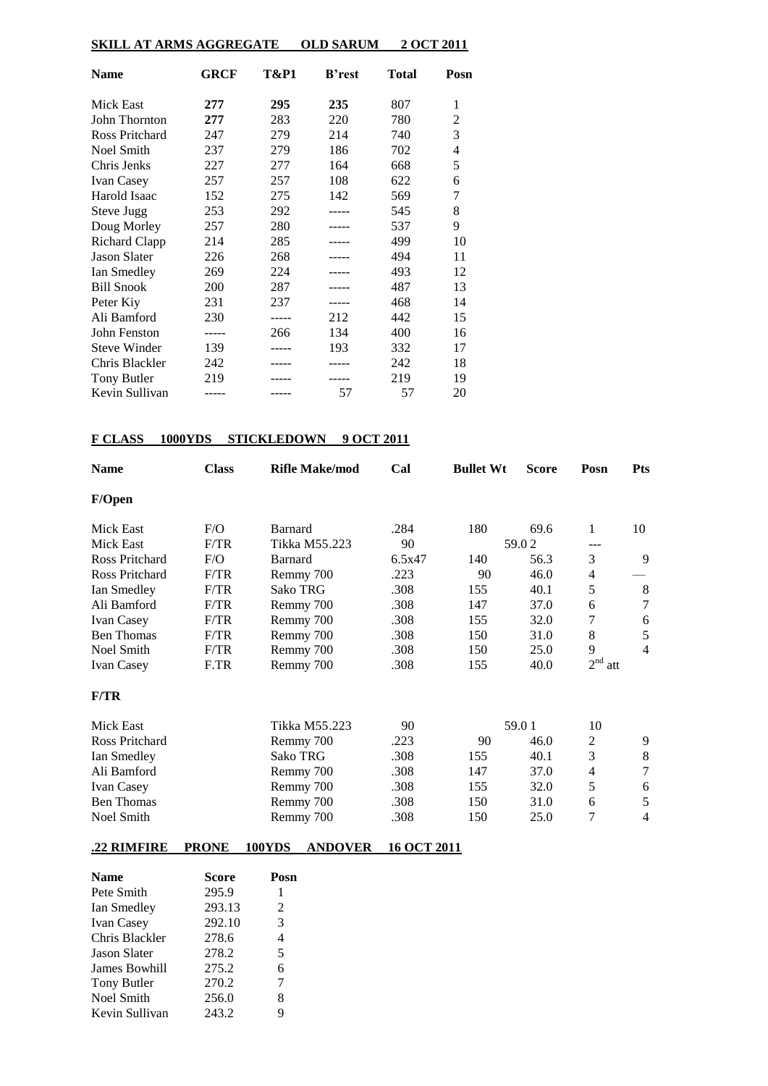| SKILL AT ARMS AGGREGATE | <b>OLD SARUM</b> | 2 OCT 2011 |
|-------------------------|------------------|------------|
|-------------------------|------------------|------------|

| <b>Name</b>           | GRCF  | T&P1 | <b>B</b> 'rest | Total | Posn           |
|-----------------------|-------|------|----------------|-------|----------------|
| <b>Mick East</b>      | 277   | 295  | 235            | 807   | 1              |
| John Thornton         | 277   | 283  | 220            | 780   | 2              |
| <b>Ross Pritchard</b> | 247   | 279  | 214            | 740   | 3              |
| Noel Smith            | 237   | 279  | 186            | 702   | $\overline{4}$ |
| Chris Jenks           | 227   | 277  | 164            | 668   | 5              |
| <b>Ivan Casey</b>     | 257   | 257  | 108            | 622   | 6              |
| Harold Isaac          | 152   | 275  | 142            | 569   | 7              |
| Steve Jugg            | 253   | 292  |                | 545   | 8              |
| Doug Morley           | 257   | 280  |                | 537   | 9              |
| <b>Richard Clapp</b>  | 214   | 285  |                | 499   | 10             |
| <b>Jason Slater</b>   | 226   | 268  |                | 494   | 11             |
| Ian Smedley           | 269   | 224  |                | 493   | 12             |
| <b>Bill Snook</b>     | 200   | 287  |                | 487   | 13             |
| Peter Kiy             | 231   | 237  |                | 468   | 14             |
| Ali Bamford           | 230   |      | 212            | 442   | 15             |
| John Fenston          | ----- | 266  | 134            | 400   | 16             |
| <b>Steve Winder</b>   | 139   |      | 193            | 332   | 17             |
| Chris Blackler        | 242   |      |                | 242   | 18             |
| <b>Tony Butler</b>    | 219   |      |                | 219   | 19             |
| Kevin Sullivan        |       |      | 57             | 57    | 20             |

### **F CLASS 1000YDS STICKLEDOWN 9 OCT 2011**

| <b>Name</b>       | <b>Class</b> | <b>Rifle Make/mod</b> | Cal    | <b>Bullet Wt</b> | <b>Score</b> | Posn      | <b>Pts</b>     |
|-------------------|--------------|-----------------------|--------|------------------|--------------|-----------|----------------|
| F/Open            |              |                       |        |                  |              |           |                |
| Mick East         | F/O          | <b>Barnard</b>        | .284   | 180              | 69.6         | 1         | 10             |
| <b>Mick East</b>  | F/TR         | Tikka M55.223         | 90     |                  | 59.02        | ---       |                |
| Ross Pritchard    | F/O          | <b>Barnard</b>        | 6.5x47 | 140              | 56.3         | 3         | 9              |
| Ross Pritchard    | F/TR         | Remmy 700             | .223   | 90               | 46.0         | 4         |                |
| Ian Smedley       | F/TR         | <b>Sako TRG</b>       | .308   | 155              | 40.1         | 5         | 8              |
| Ali Bamford       | F/TR         | Remmy 700             | .308   | 147              | 37.0         | 6         | 7              |
| Ivan Casey        | F/TR         | Remmy 700             | .308   | 155              | 32.0         | 7         | 6              |
| <b>Ben Thomas</b> | F/TR         | Remmy 700             | .308   | 150              | 31.0         | 8         | 5              |
| Noel Smith        | F/TR         | Remmy 700             | .308   | 150              | 25.0         | 9         | $\overline{4}$ |
| <b>Ivan Casey</b> | F.TR         | Remmy 700             | .308   | 155              | 40.0         | $2nd$ att |                |
| F/TR              |              |                       |        |                  |              |           |                |
| Mick East         |              | Tikka M55.223         | 90     |                  | 59.01        | 10        |                |
| Ross Pritchard    |              | Remmy 700             | .223   | 90               | 46.0         | 2         | 9              |
| Ian Smedley       |              | Sako TRG              | .308   | 155              | 40.1         | 3         | 8              |
| Ali Bamford       |              | Remmy 700             | .308   | 147              | 37.0         | 4         | $\overline{7}$ |
| <b>Ivan Casey</b> |              | Remmy 700             | .308   | 155              | 32.0         | 5         | 6              |
| <b>Ben Thomas</b> |              | Remmy 700             | .308   | 150              | 31.0         | 6         | 5              |
| Noel Smith        |              | Remmy 700             | .308   | 150              | 25.0         | 7         | 4              |
|                   |              |                       |        |                  |              |           |                |

# **.22 RIMFIRE PRONE 100YDS ANDOVER 16 OCT 2011**

| <b>Name</b>          | <b>Score</b> | Posn |
|----------------------|--------------|------|
| Pete Smith           | 295.9        | 1    |
| Ian Smedley          | 293.13       | 2    |
| <b>Ivan Casey</b>    | 292.10       | 3    |
| Chris Blackler       | 278.6        | 4    |
| <b>Jason Slater</b>  | 278.2        | 5    |
| <b>James Bowhill</b> | 275.2        | 6    |
| <b>Tony Butler</b>   | 270.2        | 7    |
| <b>Noel Smith</b>    | 256.0        | 8    |
| Kevin Sullivan       | 243.2        | 9    |